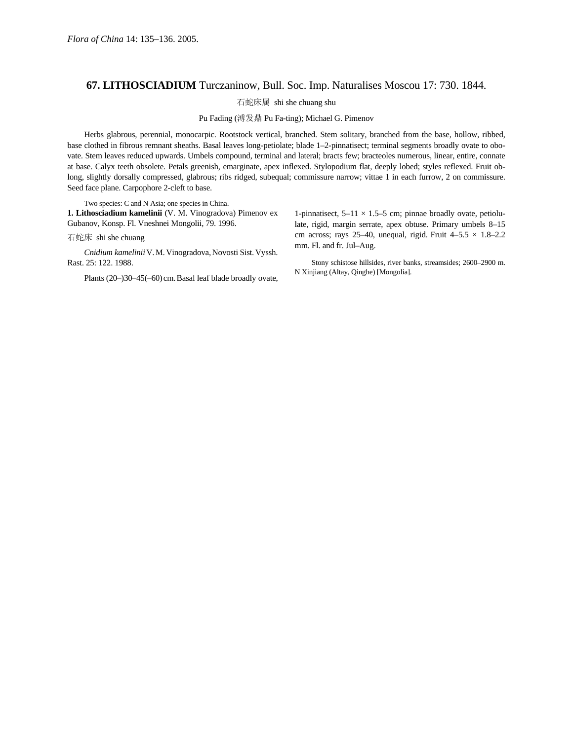## **67. LITHOSCIADIUM** Turczaninow, Bull. Soc. Imp. Naturalises Moscou 17: 730. 1844.

石蛇床属 shi she chuang shu

Pu Fading (溥发鼎 Pu Fa-ting); Michael G. Pimenov

Herbs glabrous, perennial, monocarpic. Rootstock vertical, branched. Stem solitary, branched from the base, hollow, ribbed, base clothed in fibrous remnant sheaths. Basal leaves long-petiolate; blade 1–2-pinnatisect; terminal segments broadly ovate to obovate. Stem leaves reduced upwards. Umbels compound, terminal and lateral; bracts few; bracteoles numerous, linear, entire, connate at base. Calyx teeth obsolete. Petals greenish, emarginate, apex inflexed. Stylopodium flat, deeply lobed; styles reflexed. Fruit oblong, slightly dorsally compressed, glabrous; ribs ridged, subequal; commissure narrow; vittae 1 in each furrow, 2 on commissure. Seed face plane. Carpophore 2-cleft to base.

Two species: C and N Asia; one species in China. **1. Lithosciadium kamelinii** (V. M. Vinogradova) Pimenov ex Gubanov, Konsp. Fl. Vneshnei Mongolii, 79. 1996.

石蛇床 shi she chuang

*Cnidium kamelinii*V.M.Vinogradova,Novosti Sist.Vyssh. Rast. 25: 122. 1988.

Plants (20–)30–45(–60) cm.Basal leaf blade broadly ovate,

1-pinnatisect,  $5-11 \times 1.5-5$  cm; pinnae broadly ovate, petiolulate, rigid, margin serrate, apex obtuse. Primary umbels 8–15 cm across; rays 25–40, unequal, rigid. Fruit  $4-5.5 \times 1.8-2.2$ mm. Fl. and fr. Jul–Aug.

Stony schistose hillsides, river banks, streamsides; 2600–2900 m. N Xinjiang (Altay, Qinghe) [Mongolia].